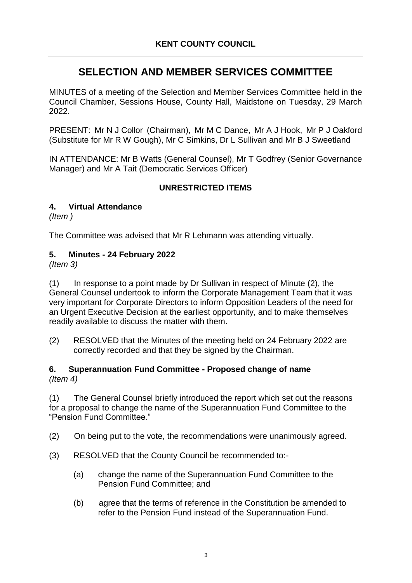# **SELECTION AND MEMBER SERVICES COMMITTEE**

MINUTES of a meeting of the Selection and Member Services Committee held in the Council Chamber, Sessions House, County Hall, Maidstone on Tuesday, 29 March 2022.

PRESENT: Mr N J Collor (Chairman), Mr M C Dance, Mr A J Hook, Mr P J Oakford (Substitute for Mr R W Gough), Mr C Simkins, Dr L Sullivan and Mr B J Sweetland

IN ATTENDANCE: Mr B Watts (General Counsel), Mr T Godfrey (Senior Governance Manager) and Mr A Tait (Democratic Services Officer)

### **UNRESTRICTED ITEMS**

#### **4. Virtual Attendance**

*(Item )*

The Committee was advised that Mr R Lehmann was attending virtually.

#### **5. Minutes - 24 February 2022**

*(Item 3)*

(1) In response to a point made by Dr Sullivan in respect of Minute (2), the General Counsel undertook to inform the Corporate Management Team that it was very important for Corporate Directors to inform Opposition Leaders of the need for an Urgent Executive Decision at the earliest opportunity, and to make themselves readily available to discuss the matter with them.

(2) RESOLVED that the Minutes of the meeting held on 24 February 2022 are correctly recorded and that they be signed by the Chairman.

#### **6. Superannuation Fund Committee - Proposed change of name** *(Item 4)*

(1) The General Counsel briefly introduced the report which set out the reasons for a proposal to change the name of the Superannuation Fund Committee to the "Pension Fund Committee."

- (2) On being put to the vote, the recommendations were unanimously agreed.
- (3) RESOLVED that the County Council be recommended to:-
	- (a) change the name of the Superannuation Fund Committee to the Pension Fund Committee; and
	- (b) agree that the terms of reference in the Constitution be amended to refer to the Pension Fund instead of the Superannuation Fund.